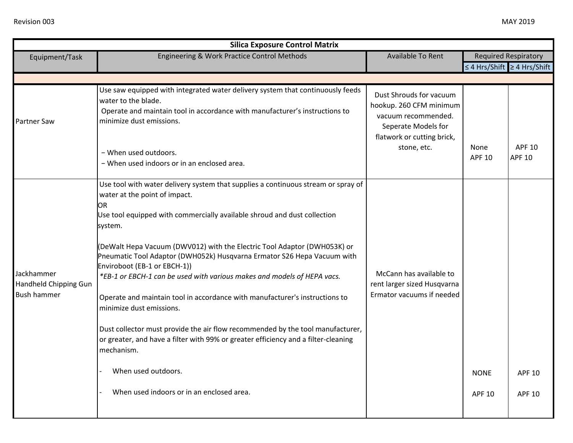| <b>Silica Exposure Control Matrix</b>                     |                                                                                                                                                                                                                                                                                                                                                                                                                                                                                                                                                                                                                                                                                                                                                                                                            |                                                                                                                                               |                             |               |
|-----------------------------------------------------------|------------------------------------------------------------------------------------------------------------------------------------------------------------------------------------------------------------------------------------------------------------------------------------------------------------------------------------------------------------------------------------------------------------------------------------------------------------------------------------------------------------------------------------------------------------------------------------------------------------------------------------------------------------------------------------------------------------------------------------------------------------------------------------------------------------|-----------------------------------------------------------------------------------------------------------------------------------------------|-----------------------------|---------------|
| Equipment/Task                                            | Engineering & Work Practice Control Methods                                                                                                                                                                                                                                                                                                                                                                                                                                                                                                                                                                                                                                                                                                                                                                | Available To Rent                                                                                                                             | <b>Required Respiratory</b> |               |
|                                                           |                                                                                                                                                                                                                                                                                                                                                                                                                                                                                                                                                                                                                                                                                                                                                                                                            |                                                                                                                                               | ≤ 4 Hrs/Shift ≥ 4 Hrs/Shift |               |
|                                                           |                                                                                                                                                                                                                                                                                                                                                                                                                                                                                                                                                                                                                                                                                                                                                                                                            |                                                                                                                                               |                             |               |
| <b>Partner Saw</b>                                        | Use saw equipped with integrated water delivery system that continuously feeds<br>water to the blade.<br>Operate and maintain tool in accordance with manufacturer's instructions to<br>minimize dust emissions.                                                                                                                                                                                                                                                                                                                                                                                                                                                                                                                                                                                           | Dust Shrouds for vacuum<br>hookup. 260 CFM minimum<br>vacuum recommended.<br>Seperate Models for<br>flatwork or cutting brick,<br>stone, etc. | None                        | <b>APF 10</b> |
|                                                           | - When used outdoors.                                                                                                                                                                                                                                                                                                                                                                                                                                                                                                                                                                                                                                                                                                                                                                                      |                                                                                                                                               | <b>APF 10</b>               | <b>APF 10</b> |
|                                                           | - When used indoors or in an enclosed area.                                                                                                                                                                                                                                                                                                                                                                                                                                                                                                                                                                                                                                                                                                                                                                |                                                                                                                                               |                             |               |
| Jackhammer<br>Handheld Chipping Gun<br><b>Bush hammer</b> | Use tool with water delivery system that supplies a continuous stream or spray of<br>water at the point of impact.<br>OR.<br>Use tool equipped with commercially available shroud and dust collection<br>system.<br>(DeWalt Hepa Vacuum (DWV012) with the Electric Tool Adaptor (DWH053K) or<br>Pneumatic Tool Adaptor (DWH052k) Husqvarna Ermator S26 Hepa Vacuum with<br>Enviroboot (EB-1 or EBCH-1))<br>*EB-1 or EBCH-1 can be used with various makes and models of HEPA vacs.<br>Operate and maintain tool in accordance with manufacturer's instructions to<br>minimize dust emissions.<br>Dust collector must provide the air flow recommended by the tool manufacturer,<br>or greater, and have a filter with 99% or greater efficiency and a filter-cleaning<br>mechanism.<br>When used outdoors. | McCann has available to<br>rent larger sized Husqvarna<br>Ermator vacuums if needed                                                           | <b>NONE</b>                 | <b>APF 10</b> |
|                                                           | When used indoors or in an enclosed area.                                                                                                                                                                                                                                                                                                                                                                                                                                                                                                                                                                                                                                                                                                                                                                  |                                                                                                                                               | <b>APF 10</b>               | <b>APF 10</b> |
|                                                           |                                                                                                                                                                                                                                                                                                                                                                                                                                                                                                                                                                                                                                                                                                                                                                                                            |                                                                                                                                               |                             |               |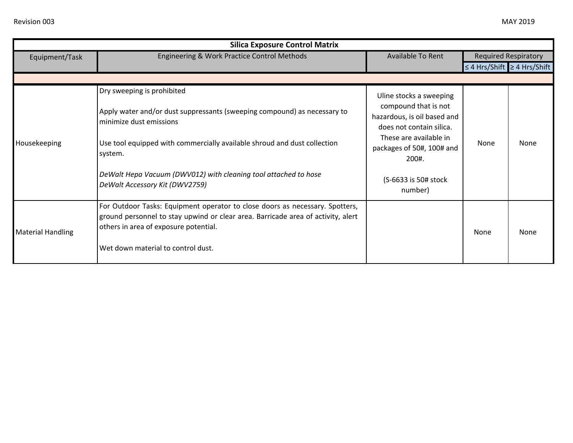| <b>Silica Exposure Control Matrix</b> |                                                                                                                                                                                                           |                                                              |                                       |      |
|---------------------------------------|-----------------------------------------------------------------------------------------------------------------------------------------------------------------------------------------------------------|--------------------------------------------------------------|---------------------------------------|------|
| Equipment/Task                        | Engineering & Work Practice Control Methods                                                                                                                                                               | <b>Available To Rent</b>                                     | <b>Required Respiratory</b>           |      |
|                                       |                                                                                                                                                                                                           |                                                              | $\leq$ 4 Hrs/Shift $\geq$ 4 Hrs/Shift |      |
|                                       |                                                                                                                                                                                                           |                                                              |                                       |      |
| Housekeeping                          | Dry sweeping is prohibited<br>Apply water and/or dust suppressants (sweeping compound) as necessary to                                                                                                    | Uline stocks a sweeping<br>compound that is not              |                                       |      |
|                                       | minimize dust emissions                                                                                                                                                                                   | hazardous, is oil based and<br>does not contain silica.      | None                                  | None |
|                                       | Use tool equipped with commercially available shroud and dust collection<br>system.                                                                                                                       | These are available in<br>packages of 50#, 100# and<br>200#. |                                       |      |
|                                       | DeWalt Hepa Vacuum (DWV012) with cleaning tool attached to hose<br>DeWalt Accessory Kit (DWV2759)                                                                                                         | (S-6633 is 50# stock<br>number)                              |                                       |      |
| <b>Material Handling</b>              | For Outdoor Tasks: Equipment operator to close doors as necessary. Spotters,<br>ground personnel to stay upwind or clear area. Barricade area of activity, alert<br>others in area of exposure potential. |                                                              | None                                  | None |
|                                       | Wet down material to control dust.                                                                                                                                                                        |                                                              |                                       |      |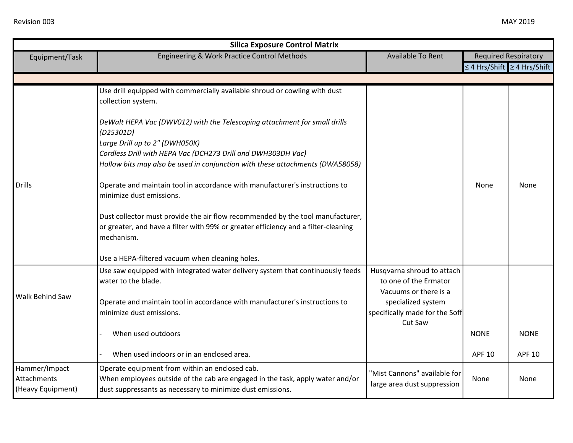| <b>Silica Exposure Control Matrix</b>                    |                                                                                                                                                                                                                                                                                                                                                                                                                                                                                                                                                                            |                                                                                                                                                 |                                       |               |
|----------------------------------------------------------|----------------------------------------------------------------------------------------------------------------------------------------------------------------------------------------------------------------------------------------------------------------------------------------------------------------------------------------------------------------------------------------------------------------------------------------------------------------------------------------------------------------------------------------------------------------------------|-------------------------------------------------------------------------------------------------------------------------------------------------|---------------------------------------|---------------|
| Equipment/Task                                           | Engineering & Work Practice Control Methods                                                                                                                                                                                                                                                                                                                                                                                                                                                                                                                                | <b>Available To Rent</b>                                                                                                                        | <b>Required Respiratory</b>           |               |
|                                                          |                                                                                                                                                                                                                                                                                                                                                                                                                                                                                                                                                                            |                                                                                                                                                 | $\leq$ 4 Hrs/Shift $\geq$ 4 Hrs/Shift |               |
|                                                          |                                                                                                                                                                                                                                                                                                                                                                                                                                                                                                                                                                            |                                                                                                                                                 |                                       |               |
|                                                          | Use drill equipped with commercially available shroud or cowling with dust<br>collection system.                                                                                                                                                                                                                                                                                                                                                                                                                                                                           |                                                                                                                                                 |                                       |               |
| <b>Drills</b>                                            | DeWalt HEPA Vac (DWV012) with the Telescoping attachment for small drills<br>(D25301D)<br>Large Drill up to 2" (DWH050K)<br>Cordless Drill with HEPA Vac (DCH273 Drill and DWH303DH Vac)<br>Hollow bits may also be used in conjunction with these attachments (DWA58058)<br>Operate and maintain tool in accordance with manufacturer's instructions to<br>minimize dust emissions.<br>Dust collector must provide the air flow recommended by the tool manufacturer,<br>or greater, and have a filter with 99% or greater efficiency and a filter-cleaning<br>mechanism. |                                                                                                                                                 | None                                  | None          |
|                                                          | Use a HEPA-filtered vacuum when cleaning holes.                                                                                                                                                                                                                                                                                                                                                                                                                                                                                                                            |                                                                                                                                                 |                                       |               |
| Walk Behind Saw                                          | Use saw equipped with integrated water delivery system that continuously feeds<br>water to the blade.<br>Operate and maintain tool in accordance with manufacturer's instructions to<br>minimize dust emissions.                                                                                                                                                                                                                                                                                                                                                           | Husqvarna shroud to attach<br>to one of the Ermator<br>Vacuums or there is a<br>specialized system<br>specifically made for the Soff<br>Cut Saw |                                       |               |
|                                                          | When used outdoors                                                                                                                                                                                                                                                                                                                                                                                                                                                                                                                                                         |                                                                                                                                                 | <b>NONE</b>                           | <b>NONE</b>   |
|                                                          | When used indoors or in an enclosed area.                                                                                                                                                                                                                                                                                                                                                                                                                                                                                                                                  |                                                                                                                                                 | <b>APF 10</b>                         | <b>APF 10</b> |
| Hammer/Impact<br><b>Attachments</b><br>(Heavy Equipment) | Operate equipment from within an enclosed cab.<br>When employees outside of the cab are engaged in the task, apply water and/or<br>dust suppressants as necessary to minimize dust emissions.                                                                                                                                                                                                                                                                                                                                                                              | "Mist Cannons" available for<br>large area dust suppression                                                                                     | None                                  | None          |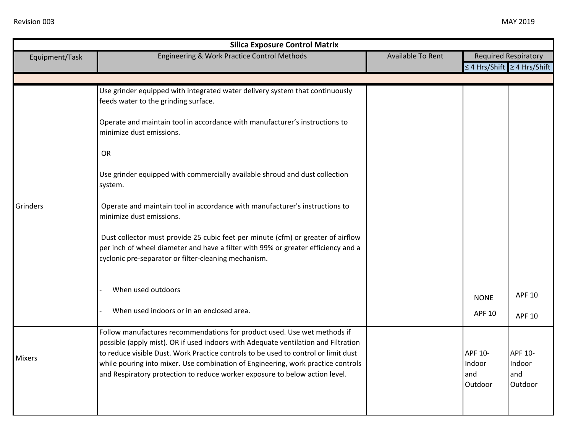| <b>Silica Exposure Control Matrix</b> |                                                                                                                                                                                                                                                                                                                                                                                                                         |                   |                                     |                                     |
|---------------------------------------|-------------------------------------------------------------------------------------------------------------------------------------------------------------------------------------------------------------------------------------------------------------------------------------------------------------------------------------------------------------------------------------------------------------------------|-------------------|-------------------------------------|-------------------------------------|
| Equipment/Task                        | Engineering & Work Practice Control Methods                                                                                                                                                                                                                                                                                                                                                                             | Available To Rent | <b>Required Respiratory</b>         |                                     |
|                                       |                                                                                                                                                                                                                                                                                                                                                                                                                         |                   |                                     | ≤ 4 Hrs/Shift ≥ 4 Hrs/Shift         |
|                                       |                                                                                                                                                                                                                                                                                                                                                                                                                         |                   |                                     |                                     |
|                                       | Use grinder equipped with integrated water delivery system that continuously<br>feeds water to the grinding surface.                                                                                                                                                                                                                                                                                                    |                   |                                     |                                     |
|                                       | Operate and maintain tool in accordance with manufacturer's instructions to<br>minimize dust emissions.                                                                                                                                                                                                                                                                                                                 |                   |                                     |                                     |
|                                       | <b>OR</b>                                                                                                                                                                                                                                                                                                                                                                                                               |                   |                                     |                                     |
| Grinders                              | Use grinder equipped with commercially available shroud and dust collection<br>system.                                                                                                                                                                                                                                                                                                                                  |                   |                                     |                                     |
|                                       | Operate and maintain tool in accordance with manufacturer's instructions to<br>minimize dust emissions.                                                                                                                                                                                                                                                                                                                 |                   |                                     |                                     |
|                                       | Dust collector must provide 25 cubic feet per minute (cfm) or greater of airflow<br>per inch of wheel diameter and have a filter with 99% or greater efficiency and a<br>cyclonic pre-separator or filter-cleaning mechanism.                                                                                                                                                                                           |                   |                                     |                                     |
|                                       | When used outdoors                                                                                                                                                                                                                                                                                                                                                                                                      |                   | <b>NONE</b>                         | <b>APF 10</b>                       |
|                                       | When used indoors or in an enclosed area.                                                                                                                                                                                                                                                                                                                                                                               |                   | <b>APF 10</b>                       | <b>APF 10</b>                       |
| Mixers                                | Follow manufactures recommendations for product used. Use wet methods if<br>possible (apply mist). OR if used indoors with Adequate ventilation and Filtration<br>to reduce visible Dust. Work Practice controls to be used to control or limit dust<br>while pouring into mixer. Use combination of Engineering, work practice controls<br>and Respiratory protection to reduce worker exposure to below action level. |                   | APF 10-<br>Indoor<br>and<br>Outdoor | APF 10-<br>Indoor<br>and<br>Outdoor |
|                                       |                                                                                                                                                                                                                                                                                                                                                                                                                         |                   |                                     |                                     |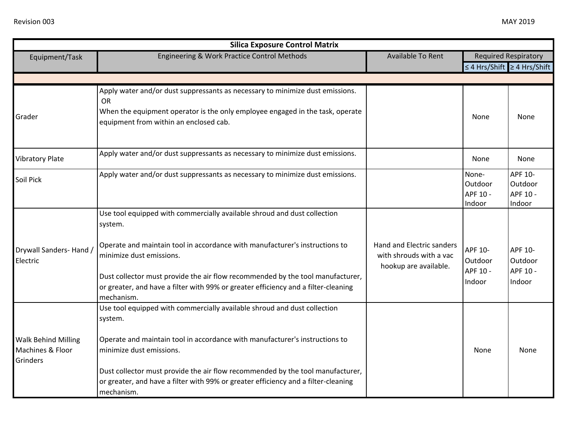| <b>Silica Exposure Control Matrix</b>                      |                                                                                                                                                                                                                                                                                                                                                                                      |                                                                               |                                          |                                          |
|------------------------------------------------------------|--------------------------------------------------------------------------------------------------------------------------------------------------------------------------------------------------------------------------------------------------------------------------------------------------------------------------------------------------------------------------------------|-------------------------------------------------------------------------------|------------------------------------------|------------------------------------------|
| Equipment/Task                                             | Engineering & Work Practice Control Methods                                                                                                                                                                                                                                                                                                                                          | Available To Rent                                                             | <b>Required Respiratory</b>              |                                          |
|                                                            |                                                                                                                                                                                                                                                                                                                                                                                      |                                                                               |                                          | $\leq$ 4 Hrs/Shift $\geq$ 4 Hrs/Shift    |
|                                                            |                                                                                                                                                                                                                                                                                                                                                                                      |                                                                               |                                          |                                          |
| Grader                                                     | Apply water and/or dust suppressants as necessary to minimize dust emissions.<br>OR<br>When the equipment operator is the only employee engaged in the task, operate<br>equipment from within an enclosed cab.                                                                                                                                                                       |                                                                               | None                                     | None                                     |
| <b>Vibratory Plate</b>                                     | Apply water and/or dust suppressants as necessary to minimize dust emissions.                                                                                                                                                                                                                                                                                                        |                                                                               | None                                     | None                                     |
| Soil Pick                                                  | Apply water and/or dust suppressants as necessary to minimize dust emissions.                                                                                                                                                                                                                                                                                                        |                                                                               | None-<br>Outdoor<br>APF 10 -<br>Indoor   | APF 10-<br>Outdoor<br>APF 10 -<br>Indoor |
| Drywall Sanders-Hand /<br>Electric                         | Use tool equipped with commercially available shroud and dust collection<br>system.<br>Operate and maintain tool in accordance with manufacturer's instructions to<br>minimize dust emissions.<br>Dust collector must provide the air flow recommended by the tool manufacturer,<br>or greater, and have a filter with 99% or greater efficiency and a filter-cleaning<br>mechanism. | Hand and Electric sanders<br>with shrouds with a vac<br>hookup are available. | APF 10-<br>Outdoor<br>APF 10 -<br>Indoor | APF 10-<br>Outdoor<br>APF 10 -<br>Indoor |
| <b>Walk Behind Milling</b><br>Machines & Floor<br>Grinders | Use tool equipped with commercially available shroud and dust collection<br>system.<br>Operate and maintain tool in accordance with manufacturer's instructions to<br>minimize dust emissions.<br>Dust collector must provide the air flow recommended by the tool manufacturer,<br>or greater, and have a filter with 99% or greater efficiency and a filter-cleaning<br>mechanism. |                                                                               | None                                     | None                                     |